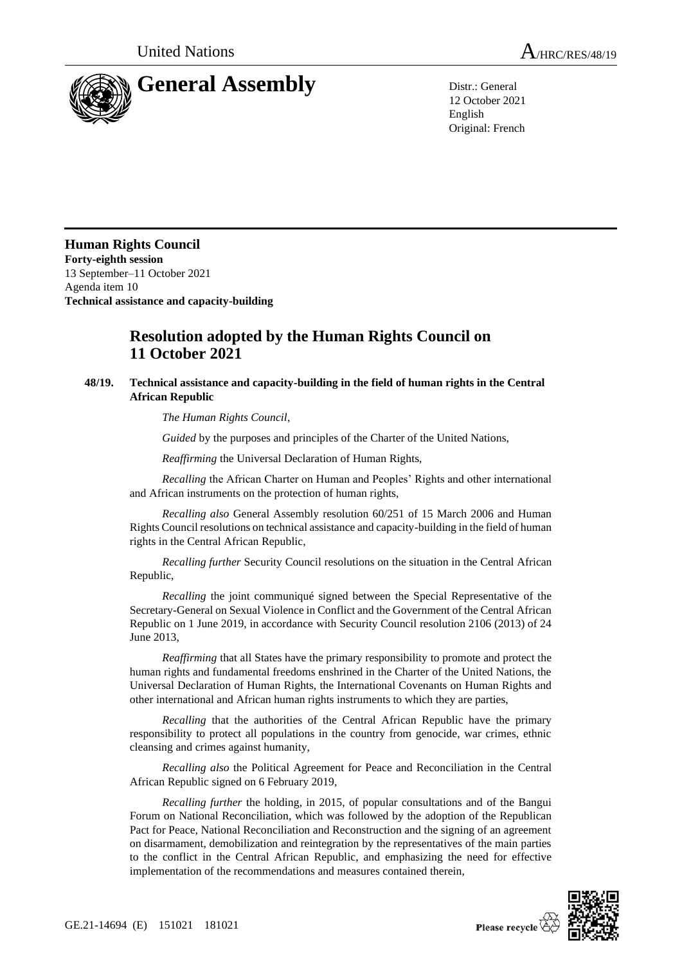

12 October 2021 English Original: French

**Human Rights Council Forty-eighth session** 13 September–11 October 2021 Agenda item 10 **Technical assistance and capacity-building**

## **Resolution adopted by the Human Rights Council on 11 October 2021**

## **48/19. Technical assistance and capacity-building in the field of human rights in the Central African Republic**

*The Human Rights Council*,

*Guided* by the purposes and principles of the Charter of the United Nations,

*Reaffirming* the Universal Declaration of Human Rights,

*Recalling* the African Charter on Human and Peoples' Rights and other international and African instruments on the protection of human rights,

*Recalling also* General Assembly resolution 60/251 of 15 March 2006 and Human Rights Council resolutions on technical assistance and capacity-building in the field of human rights in the Central African Republic,

*Recalling further* Security Council resolutions on the situation in the Central African Republic,

*Recalling* the joint communiqué signed between the Special Representative of the Secretary-General on Sexual Violence in Conflict and the Government of the Central African Republic on 1 June 2019, in accordance with Security Council resolution 2106 (2013) of 24 June 2013,

*Reaffirming* that all States have the primary responsibility to promote and protect the human rights and fundamental freedoms enshrined in the Charter of the United Nations, the Universal Declaration of Human Rights, the International Covenants on Human Rights and other international and African human rights instruments to which they are parties,

*Recalling* that the authorities of the Central African Republic have the primary responsibility to protect all populations in the country from genocide, war crimes, ethnic cleansing and crimes against humanity,

*Recalling also* the Political Agreement for Peace and Reconciliation in the Central African Republic signed on 6 February 2019,

*Recalling further* the holding, in 2015, of popular consultations and of the Bangui Forum on National Reconciliation, which was followed by the adoption of the Republican Pact for Peace, National Reconciliation and Reconstruction and the signing of an agreement on disarmament, demobilization and reintegration by the representatives of the main parties to the conflict in the Central African Republic, and emphasizing the need for effective implementation of the recommendations and measures contained therein,

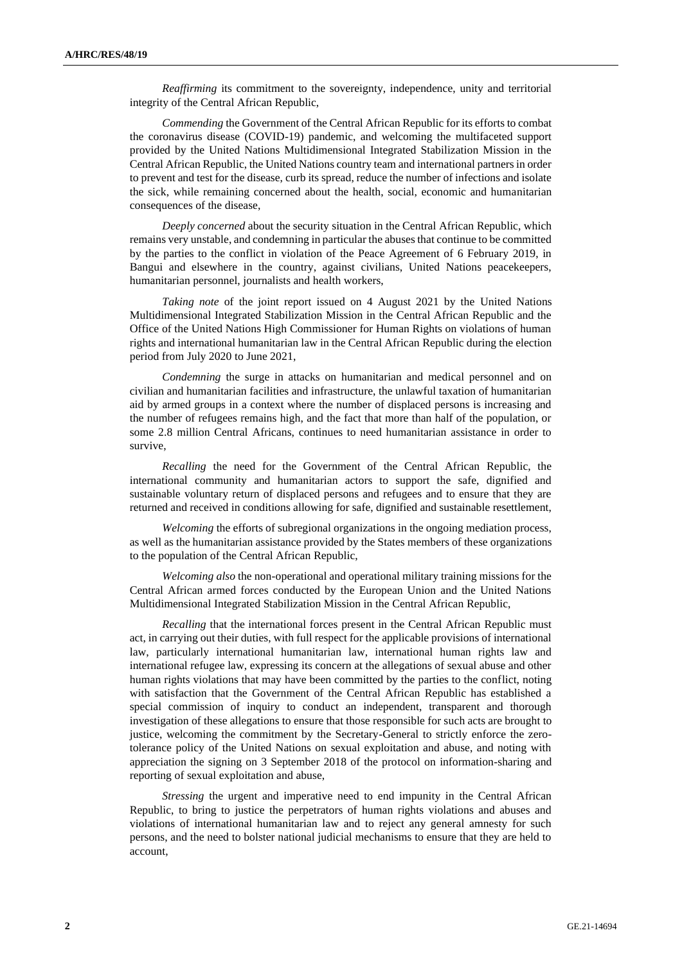*Reaffirming* its commitment to the sovereignty, independence, unity and territorial integrity of the Central African Republic,

*Commending* the Government of the Central African Republic for its efforts to combat the coronavirus disease (COVID-19) pandemic, and welcoming the multifaceted support provided by the United Nations Multidimensional Integrated Stabilization Mission in the Central African Republic, the United Nations country team and international partners in order to prevent and test for the disease, curb its spread, reduce the number of infections and isolate the sick, while remaining concerned about the health, social, economic and humanitarian consequences of the disease,

*Deeply concerned* about the security situation in the Central African Republic, which remains very unstable, and condemning in particular the abuses that continue to be committed by the parties to the conflict in violation of the Peace Agreement of 6 February 2019, in Bangui and elsewhere in the country, against civilians, United Nations peacekeepers, humanitarian personnel, journalists and health workers,

*Taking note* of the joint report issued on 4 August 2021 by the United Nations Multidimensional Integrated Stabilization Mission in the Central African Republic and the Office of the United Nations High Commissioner for Human Rights on violations of human rights and international humanitarian law in the Central African Republic during the election period from July 2020 to June 2021,

*Condemning* the surge in attacks on humanitarian and medical personnel and on civilian and humanitarian facilities and infrastructure, the unlawful taxation of humanitarian aid by armed groups in a context where the number of displaced persons is increasing and the number of refugees remains high, and the fact that more than half of the population, or some 2.8 million Central Africans, continues to need humanitarian assistance in order to survive,

*Recalling* the need for the Government of the Central African Republic, the international community and humanitarian actors to support the safe, dignified and sustainable voluntary return of displaced persons and refugees and to ensure that they are returned and received in conditions allowing for safe, dignified and sustainable resettlement,

*Welcoming* the efforts of subregional organizations in the ongoing mediation process, as well as the humanitarian assistance provided by the States members of these organizations to the population of the Central African Republic,

*Welcoming also* the non-operational and operational military training missions for the Central African armed forces conducted by the European Union and the United Nations Multidimensional Integrated Stabilization Mission in the Central African Republic,

*Recalling* that the international forces present in the Central African Republic must act, in carrying out their duties, with full respect for the applicable provisions of international law, particularly international humanitarian law, international human rights law and international refugee law, expressing its concern at the allegations of sexual abuse and other human rights violations that may have been committed by the parties to the conflict, noting with satisfaction that the Government of the Central African Republic has established a special commission of inquiry to conduct an independent, transparent and thorough investigation of these allegations to ensure that those responsible for such acts are brought to justice, welcoming the commitment by the Secretary-General to strictly enforce the zerotolerance policy of the United Nations on sexual exploitation and abuse, and noting with appreciation the signing on 3 September 2018 of the protocol on information-sharing and reporting of sexual exploitation and abuse,

*Stressing* the urgent and imperative need to end impunity in the Central African Republic, to bring to justice the perpetrators of human rights violations and abuses and violations of international humanitarian law and to reject any general amnesty for such persons, and the need to bolster national judicial mechanisms to ensure that they are held to account,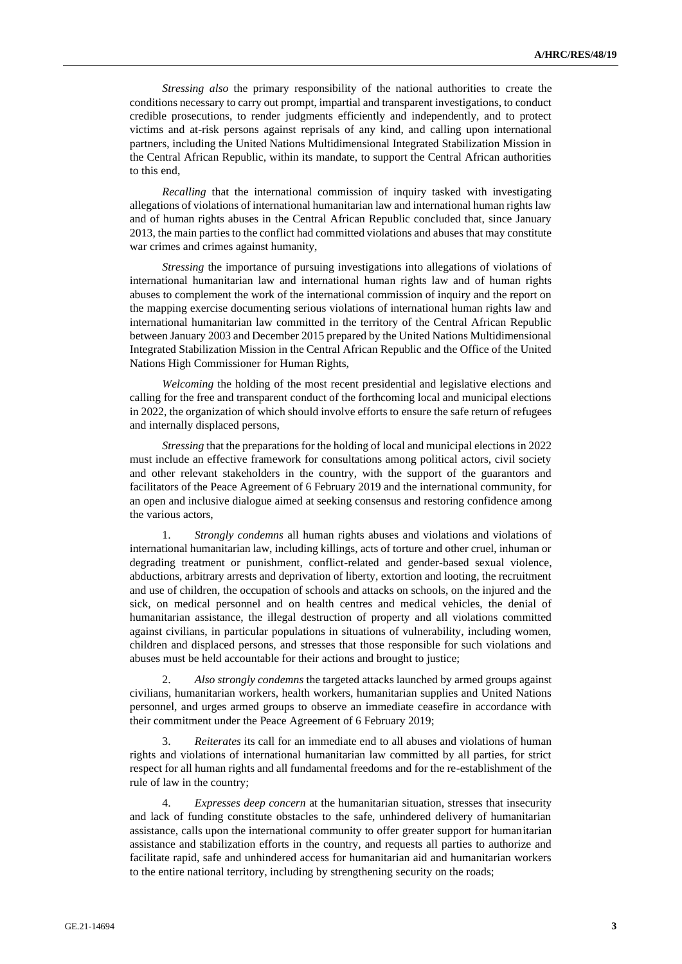*Stressing also* the primary responsibility of the national authorities to create the conditions necessary to carry out prompt, impartial and transparent investigations, to conduct credible prosecutions, to render judgments efficiently and independently, and to protect victims and at-risk persons against reprisals of any kind, and calling upon international partners, including the United Nations Multidimensional Integrated Stabilization Mission in the Central African Republic, within its mandate, to support the Central African authorities to this end,

*Recalling* that the international commission of inquiry tasked with investigating allegations of violations of international humanitarian law and international human rights law and of human rights abuses in the Central African Republic concluded that, since January 2013, the main parties to the conflict had committed violations and abuses that may constitute war crimes and crimes against humanity,

*Stressing* the importance of pursuing investigations into allegations of violations of international humanitarian law and international human rights law and of human rights abuses to complement the work of the international commission of inquiry and the report on the mapping exercise documenting serious violations of international human rights law and international humanitarian law committed in the territory of the Central African Republic between January 2003 and December 2015 prepared by the United Nations Multidimensional Integrated Stabilization Mission in the Central African Republic and the Office of the United Nations High Commissioner for Human Rights,

*Welcoming* the holding of the most recent presidential and legislative elections and calling for the free and transparent conduct of the forthcoming local and municipal elections in 2022, the organization of which should involve efforts to ensure the safe return of refugees and internally displaced persons,

*Stressing* that the preparations for the holding of local and municipal elections in 2022 must include an effective framework for consultations among political actors, civil society and other relevant stakeholders in the country, with the support of the guarantors and facilitators of the Peace Agreement of 6 February 2019 and the international community, for an open and inclusive dialogue aimed at seeking consensus and restoring confidence among the various actors,

1. *Strongly condemns* all human rights abuses and violations and violations of international humanitarian law, including killings, acts of torture and other cruel, inhuman or degrading treatment or punishment, conflict-related and gender-based sexual violence, abductions, arbitrary arrests and deprivation of liberty, extortion and looting, the recruitment and use of children, the occupation of schools and attacks on schools, on the injured and the sick, on medical personnel and on health centres and medical vehicles, the denial of humanitarian assistance, the illegal destruction of property and all violations committed against civilians, in particular populations in situations of vulnerability, including women, children and displaced persons, and stresses that those responsible for such violations and abuses must be held accountable for their actions and brought to justice;

2. *Also strongly condemns* the targeted attacks launched by armed groups against civilians, humanitarian workers, health workers, humanitarian supplies and United Nations personnel, and urges armed groups to observe an immediate ceasefire in accordance with their commitment under the Peace Agreement of 6 February 2019;

3. *Reiterates* its call for an immediate end to all abuses and violations of human rights and violations of international humanitarian law committed by all parties, for strict respect for all human rights and all fundamental freedoms and for the re-establishment of the rule of law in the country;

4. *Expresses deep concern* at the humanitarian situation, stresses that insecurity and lack of funding constitute obstacles to the safe, unhindered delivery of humanitarian assistance, calls upon the international community to offer greater support for humanitarian assistance and stabilization efforts in the country, and requests all parties to authorize and facilitate rapid, safe and unhindered access for humanitarian aid and humanitarian workers to the entire national territory, including by strengthening security on the roads;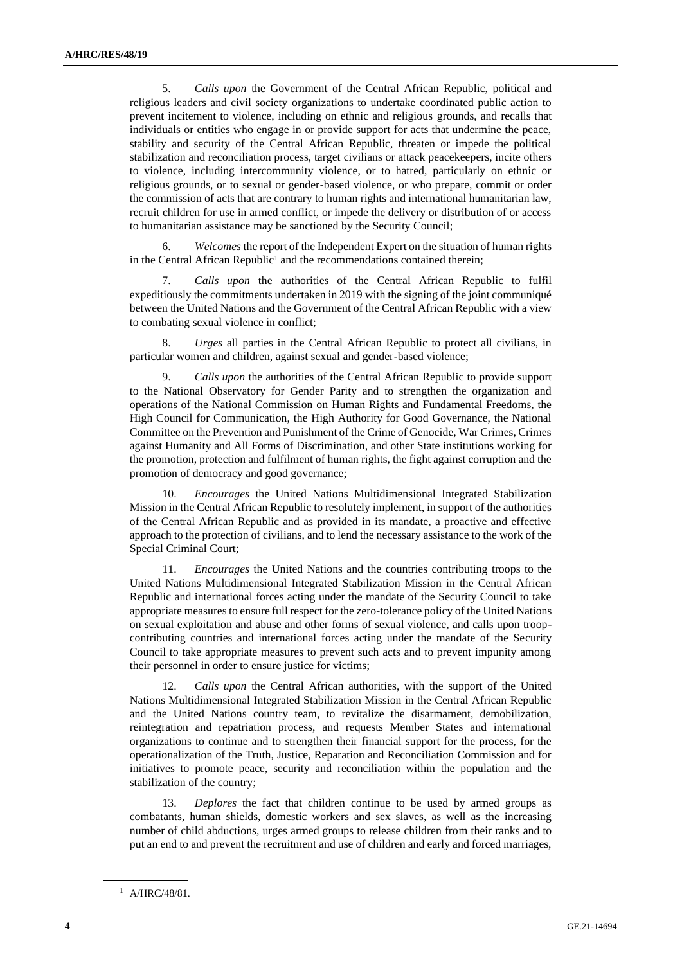5. *Calls upon* the Government of the Central African Republic, political and religious leaders and civil society organizations to undertake coordinated public action to prevent incitement to violence, including on ethnic and religious grounds, and recalls that individuals or entities who engage in or provide support for acts that undermine the peace, stability and security of the Central African Republic, threaten or impede the political stabilization and reconciliation process, target civilians or attack peacekeepers, incite others to violence, including intercommunity violence, or to hatred, particularly on ethnic or religious grounds, or to sexual or gender-based violence, or who prepare, commit or order the commission of acts that are contrary to human rights and international humanitarian law, recruit children for use in armed conflict, or impede the delivery or distribution of or access to humanitarian assistance may be sanctioned by the Security Council;

6. *Welcomes* the report of the Independent Expert on the situation of human rights in the Central African Republic<sup>1</sup> and the recommendations contained therein;

7. *Calls upon* the authorities of the Central African Republic to fulfil expeditiously the commitments undertaken in 2019 with the signing of the joint communiqué between the United Nations and the Government of the Central African Republic with a view to combating sexual violence in conflict;

8. *Urges* all parties in the Central African Republic to protect all civilians, in particular women and children, against sexual and gender-based violence;

9. *Calls upon* the authorities of the Central African Republic to provide support to the National Observatory for Gender Parity and to strengthen the organization and operations of the National Commission on Human Rights and Fundamental Freedoms, the High Council for Communication, the High Authority for Good Governance, the National Committee on the Prevention and Punishment of the Crime of Genocide, War Crimes, Crimes against Humanity and All Forms of Discrimination, and other State institutions working for the promotion, protection and fulfilment of human rights, the fight against corruption and the promotion of democracy and good governance;

10. *Encourages* the United Nations Multidimensional Integrated Stabilization Mission in the Central African Republic to resolutely implement, in support of the authorities of the Central African Republic and as provided in its mandate, a proactive and effective approach to the protection of civilians, and to lend the necessary assistance to the work of the Special Criminal Court;

11. *Encourages* the United Nations and the countries contributing troops to the United Nations Multidimensional Integrated Stabilization Mission in the Central African Republic and international forces acting under the mandate of the Security Council to take appropriate measures to ensure full respect for the zero-tolerance policy of the United Nations on sexual exploitation and abuse and other forms of sexual violence, and calls upon troopcontributing countries and international forces acting under the mandate of the Security Council to take appropriate measures to prevent such acts and to prevent impunity among their personnel in order to ensure justice for victims;

12. *Calls upon* the Central African authorities, with the support of the United Nations Multidimensional Integrated Stabilization Mission in the Central African Republic and the United Nations country team, to revitalize the disarmament, demobilization, reintegration and repatriation process, and requests Member States and international organizations to continue and to strengthen their financial support for the process, for the operationalization of the Truth, Justice, Reparation and Reconciliation Commission and for initiatives to promote peace, security and reconciliation within the population and the stabilization of the country;

13. *Deplores* the fact that children continue to be used by armed groups as combatants, human shields, domestic workers and sex slaves, as well as the increasing number of child abductions, urges armed groups to release children from their ranks and to put an end to and prevent the recruitment and use of children and early and forced marriages,

 $1$  A/HRC/48/81.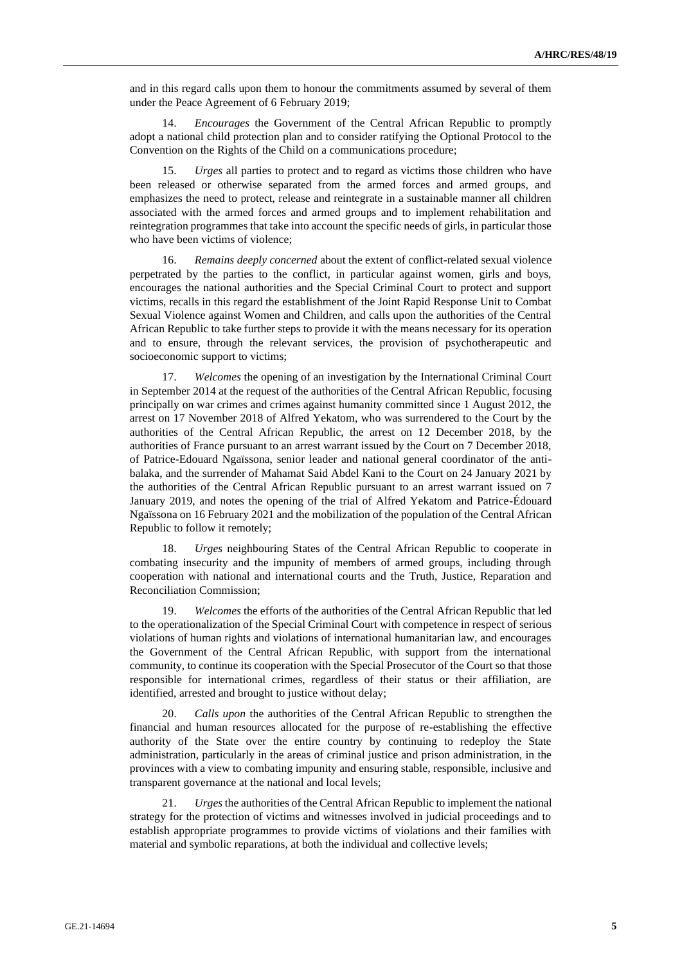and in this regard calls upon them to honour the commitments assumed by several of them under the Peace Agreement of 6 February 2019;

14. *Encourages* the Government of the Central African Republic to promptly adopt a national child protection plan and to consider ratifying the Optional Protocol to the Convention on the Rights of the Child on a communications procedure;

15. *Urges* all parties to protect and to regard as victims those children who have been released or otherwise separated from the armed forces and armed groups, and emphasizes the need to protect, release and reintegrate in a sustainable manner all children associated with the armed forces and armed groups and to implement rehabilitation and reintegration programmes that take into account the specific needs of girls, in particular those who have been victims of violence;

16. *Remains deeply concerned* about the extent of conflict-related sexual violence perpetrated by the parties to the conflict, in particular against women, girls and boys, encourages the national authorities and the Special Criminal Court to protect and support victims, recalls in this regard the establishment of the Joint Rapid Response Unit to Combat Sexual Violence against Women and Children, and calls upon the authorities of the Central African Republic to take further steps to provide it with the means necessary for its operation and to ensure, through the relevant services, the provision of psychotherapeutic and socioeconomic support to victims;

17. *Welcomes* the opening of an investigation by the International Criminal Court in September 2014 at the request of the authorities of the Central African Republic, focusing principally on war crimes and crimes against humanity committed since 1 August 2012, the arrest on 17 November 2018 of Alfred Yekatom, who was surrendered to the Court by the authorities of the Central African Republic, the arrest on 12 December 2018, by the authorities of France pursuant to an arrest warrant issued by the Court on 7 December 2018, of Patrice-Edouard Ngaïssona, senior leader and national general coordinator of the antibalaka, and the surrender of Mahamat Said Abdel Kani to the Court on 24 January 2021 by the authorities of the Central African Republic pursuant to an arrest warrant issued on 7 January 2019, and notes the opening of the trial of Alfred Yekatom and Patrice-Édouard Ngaïssona on 16 February 2021 and the mobilization of the population of the Central African Republic to follow it remotely;

18. *Urges* neighbouring States of the Central African Republic to cooperate in combating insecurity and the impunity of members of armed groups, including through cooperation with national and international courts and the Truth, Justice, Reparation and Reconciliation Commission;

19. *Welcomes* the efforts of the authorities of the Central African Republic that led to the operationalization of the Special Criminal Court with competence in respect of serious violations of human rights and violations of international humanitarian law, and encourages the Government of the Central African Republic, with support from the international community, to continue its cooperation with the Special Prosecutor of the Court so that those responsible for international crimes, regardless of their status or their affiliation, are identified, arrested and brought to justice without delay;

20. *Calls upon* the authorities of the Central African Republic to strengthen the financial and human resources allocated for the purpose of re-establishing the effective authority of the State over the entire country by continuing to redeploy the State administration, particularly in the areas of criminal justice and prison administration, in the provinces with a view to combating impunity and ensuring stable, responsible, inclusive and transparent governance at the national and local levels;

21. *Urges*the authorities of the Central African Republic to implement the national strategy for the protection of victims and witnesses involved in judicial proceedings and to establish appropriate programmes to provide victims of violations and their families with material and symbolic reparations, at both the individual and collective levels;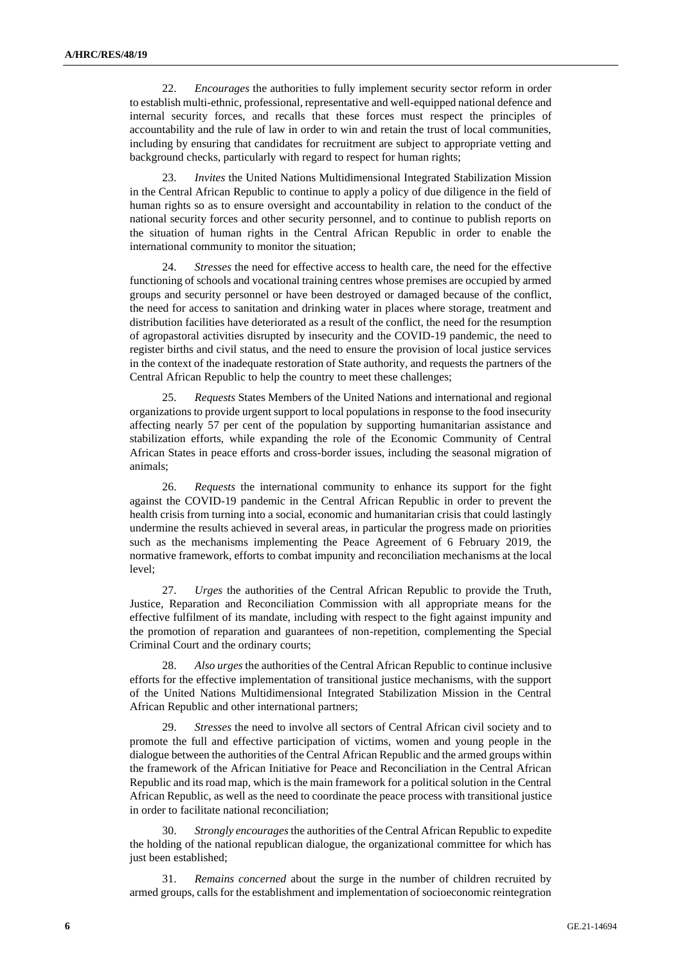22. *Encourages* the authorities to fully implement security sector reform in order to establish multi-ethnic, professional, representative and well-equipped national defence and internal security forces, and recalls that these forces must respect the principles of accountability and the rule of law in order to win and retain the trust of local communities, including by ensuring that candidates for recruitment are subject to appropriate vetting and background checks, particularly with regard to respect for human rights;

23. *Invites* the United Nations Multidimensional Integrated Stabilization Mission in the Central African Republic to continue to apply a policy of due diligence in the field of human rights so as to ensure oversight and accountability in relation to the conduct of the national security forces and other security personnel, and to continue to publish reports on the situation of human rights in the Central African Republic in order to enable the international community to monitor the situation;

24. *Stresses* the need for effective access to health care, the need for the effective functioning of schools and vocational training centres whose premises are occupied by armed groups and security personnel or have been destroyed or damaged because of the conflict, the need for access to sanitation and drinking water in places where storage, treatment and distribution facilities have deteriorated as a result of the conflict, the need for the resumption of agropastoral activities disrupted by insecurity and the COVID-19 pandemic, the need to register births and civil status, and the need to ensure the provision of local justice services in the context of the inadequate restoration of State authority, and requests the partners of the Central African Republic to help the country to meet these challenges;

25. *Requests* States Members of the United Nations and international and regional organizations to provide urgent support to local populations in response to the food insecurity affecting nearly 57 per cent of the population by supporting humanitarian assistance and stabilization efforts, while expanding the role of the Economic Community of Central African States in peace efforts and cross-border issues, including the seasonal migration of animals;

26. *Requests* the international community to enhance its support for the fight against the COVID-19 pandemic in the Central African Republic in order to prevent the health crisis from turning into a social, economic and humanitarian crisis that could lastingly undermine the results achieved in several areas, in particular the progress made on priorities such as the mechanisms implementing the Peace Agreement of 6 February 2019, the normative framework, efforts to combat impunity and reconciliation mechanisms at the local level;

27. *Urges* the authorities of the Central African Republic to provide the Truth, Justice, Reparation and Reconciliation Commission with all appropriate means for the effective fulfilment of its mandate, including with respect to the fight against impunity and the promotion of reparation and guarantees of non-repetition, complementing the Special Criminal Court and the ordinary courts;

28. *Also urges* the authorities of the Central African Republic to continue inclusive efforts for the effective implementation of transitional justice mechanisms, with the support of the United Nations Multidimensional Integrated Stabilization Mission in the Central African Republic and other international partners;

29. *Stresses* the need to involve all sectors of Central African civil society and to promote the full and effective participation of victims, women and young people in the dialogue between the authorities of the Central African Republic and the armed groups within the framework of the African Initiative for Peace and Reconciliation in the Central African Republic and its road map, which is the main framework for a political solution in the Central African Republic, as well as the need to coordinate the peace process with transitional justice in order to facilitate national reconciliation;

30. *Strongly encourages* the authorities of the Central African Republic to expedite the holding of the national republican dialogue, the organizational committee for which has just been established;

31. *Remains concerned* about the surge in the number of children recruited by armed groups, calls for the establishment and implementation of socioeconomic reintegration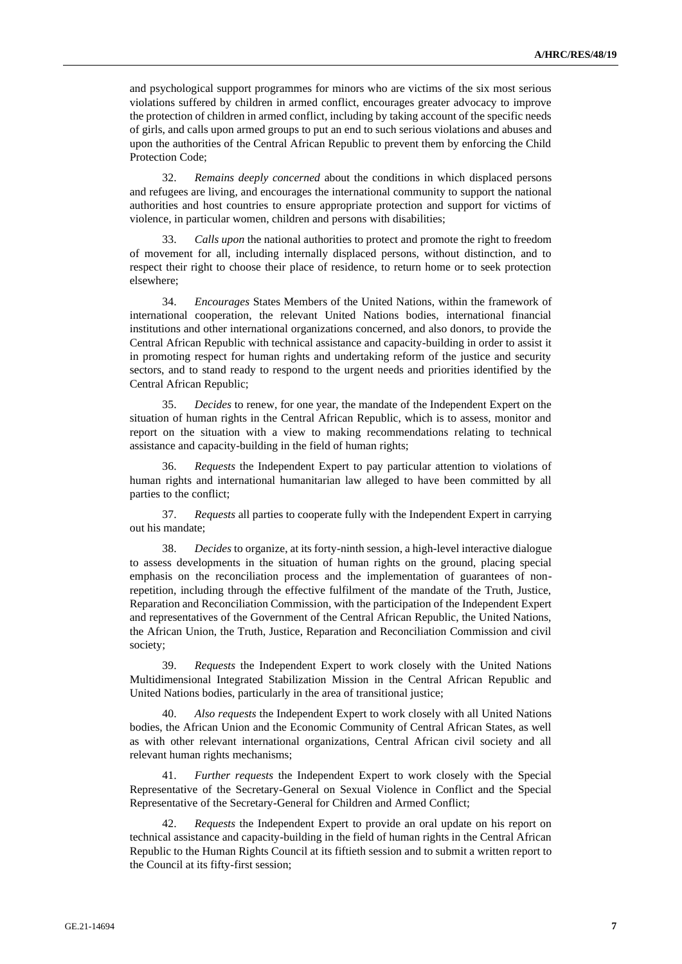and psychological support programmes for minors who are victims of the six most serious violations suffered by children in armed conflict, encourages greater advocacy to improve the protection of children in armed conflict, including by taking account of the specific needs of girls, and calls upon armed groups to put an end to such serious violations and abuses and upon the authorities of the Central African Republic to prevent them by enforcing the Child Protection Code;

32. *Remains deeply concerned* about the conditions in which displaced persons and refugees are living, and encourages the international community to support the national authorities and host countries to ensure appropriate protection and support for victims of violence, in particular women, children and persons with disabilities;

33. *Calls upon* the national authorities to protect and promote the right to freedom of movement for all, including internally displaced persons, without distinction, and to respect their right to choose their place of residence, to return home or to seek protection elsewhere;

34. *Encourages* States Members of the United Nations, within the framework of international cooperation, the relevant United Nations bodies, international financial institutions and other international organizations concerned, and also donors, to provide the Central African Republic with technical assistance and capacity-building in order to assist it in promoting respect for human rights and undertaking reform of the justice and security sectors, and to stand ready to respond to the urgent needs and priorities identified by the Central African Republic;

35. *Decides* to renew, for one year, the mandate of the Independent Expert on the situation of human rights in the Central African Republic, which is to assess, monitor and report on the situation with a view to making recommendations relating to technical assistance and capacity-building in the field of human rights;

36. *Requests* the Independent Expert to pay particular attention to violations of human rights and international humanitarian law alleged to have been committed by all parties to the conflict;

37. *Requests* all parties to cooperate fully with the Independent Expert in carrying out his mandate;

38. *Decides* to organize, at its forty-ninth session, a high-level interactive dialogue to assess developments in the situation of human rights on the ground, placing special emphasis on the reconciliation process and the implementation of guarantees of nonrepetition, including through the effective fulfilment of the mandate of the Truth, Justice, Reparation and Reconciliation Commission, with the participation of the Independent Expert and representatives of the Government of the Central African Republic, the United Nations, the African Union, the Truth, Justice, Reparation and Reconciliation Commission and civil society;

39. *Requests* the Independent Expert to work closely with the United Nations Multidimensional Integrated Stabilization Mission in the Central African Republic and United Nations bodies, particularly in the area of transitional justice;

40. *Also requests* the Independent Expert to work closely with all United Nations bodies, the African Union and the Economic Community of Central African States, as well as with other relevant international organizations, Central African civil society and all relevant human rights mechanisms;

41. *Further requests* the Independent Expert to work closely with the Special Representative of the Secretary-General on Sexual Violence in Conflict and the Special Representative of the Secretary-General for Children and Armed Conflict;

42. *Requests* the Independent Expert to provide an oral update on his report on technical assistance and capacity-building in the field of human rights in the Central African Republic to the Human Rights Council at its fiftieth session and to submit a written report to the Council at its fifty-first session;